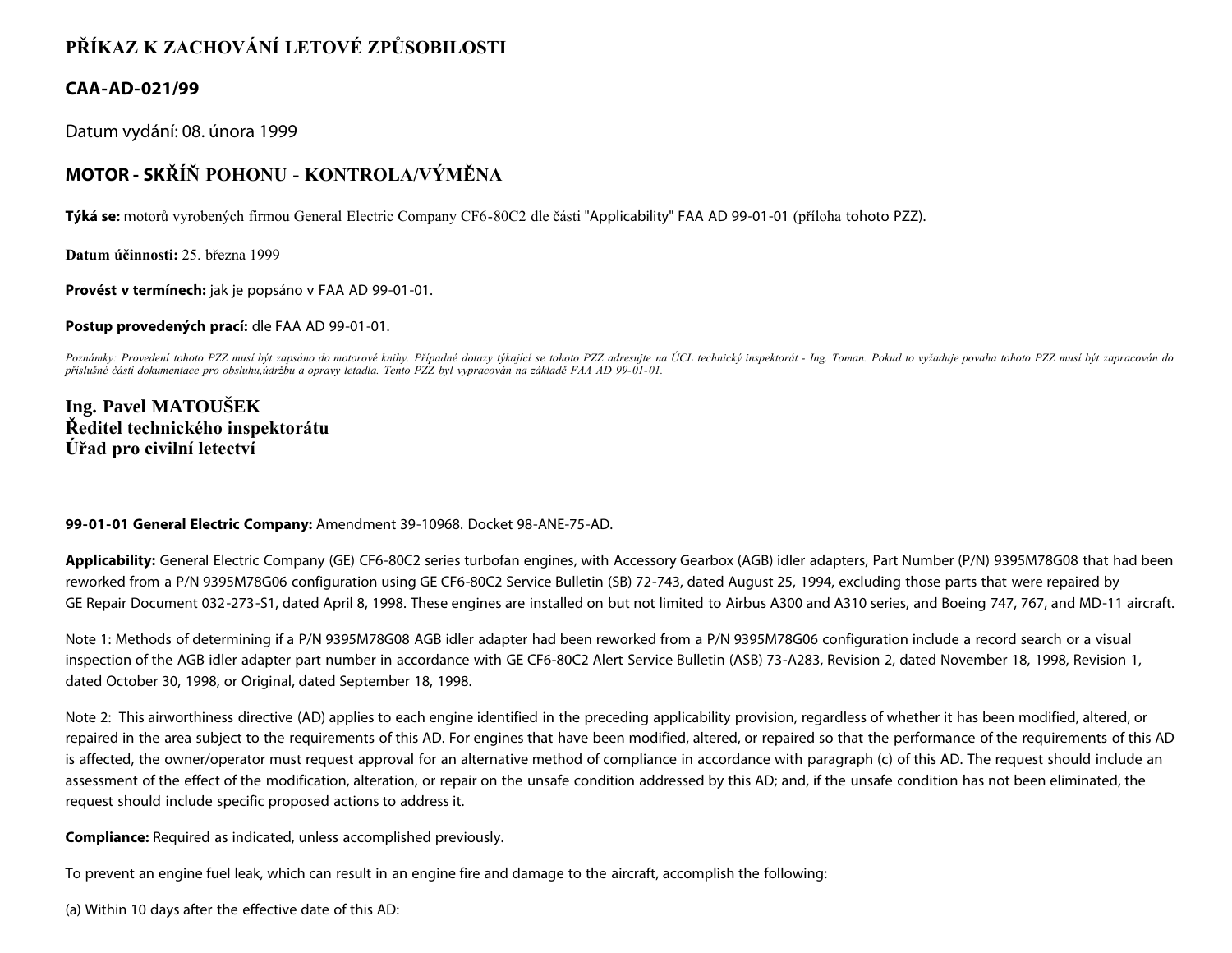## **PŘÍKAZ K ZACHOVÁNÍ LETOVÉ ZPŮSOBILOSTI**

## **CAA-AD-021/99**

Datum vydání: 08. února 1999

## **MOTOR - SKŘÍŇ POHONU - KONTROLA/VÝMĚNA**

**Týká se:** motorů vyrobených firmou General Electric Company CF6-80C2 dle části "Applicability" FAA AD 99-01-01 (příloha tohoto PZZ).

**Datum účinnosti:** 25. března 1999

**Provést v termínech:** jak je popsáno v FAA AD 99-01-01.

**Postup provedených prací:** dle FAA AD 99-01-01.

*Poznámky: Provedení tohoto PZZ musí být zapsáno do motorové knihy. Případné dotazy týkající se tohoto PZZ adresujte na ÚCL technický inspektorát - Ing. Toman. Pokud to vyžaduje povaha tohoto PZZ musí být zapracován do příslušné části dokumentace pro obsluhu,údržbu a opravy letadla. Tento PZZ byl vypracován na základě FAA AD 99-01-01.*

**Ing. Pavel MATOUŠEK Ředitel technického inspektorátu Úřad pro civilní letectví**

## **99-01-01 General Electric Company:** Amendment 39-10968. Docket 98-ANE-75-AD.

**Applicability:** General Electric Company (GE) CF6-80C2 series turbofan engines, with Accessory Gearbox (AGB) idler adapters, Part Number (P/N) 9395M78G08 that had been reworked from a P/N 9395M78G06 configuration using GE CF6-80C2 Service Bulletin (SB) 72-743, dated August 25, 1994, excluding those parts that were repaired by GE Repair Document 032-273-S1, dated April 8, 1998. These engines are installed on but not limited to Airbus A300 and A310 series, and Boeing 747, 767, and MD-11 aircraft.

Note 1: Methods of determining if a P/N 9395M78G08 AGB idler adapter had been reworked from a P/N 9395M78G06 configuration include a record search or a visual inspection of the AGB idler adapter part number in accordance with GE CF6-80C2 Alert Service Bulletin (ASB) 73-A283, Revision 2, dated November 18, 1998, Revision 1, dated October 30, 1998, or Original, dated September 18, 1998.

Note 2: This airworthiness directive (AD) applies to each engine identified in the preceding applicability provision, regardless of whether it has been modified, altered, or repaired in the area subject to the requirements of this AD. For engines that have been modified, altered, or repaired so that the performance of the requirements of this AD is affected, the owner/operator must request approval for an alternative method of compliance in accordance with paragraph (c) of this AD. The request should include an assessment of the effect of the modification, alteration, or repair on the unsafe condition addressed by this AD; and, if the unsafe condition has not been eliminated, the request should include specific proposed actions to address it.

**Compliance:** Required as indicated, unless accomplished previously.

To prevent an engine fuel leak, which can result in an engine fire and damage to the aircraft, accomplish the following:

(a) Within 10 days after the effective date of this AD: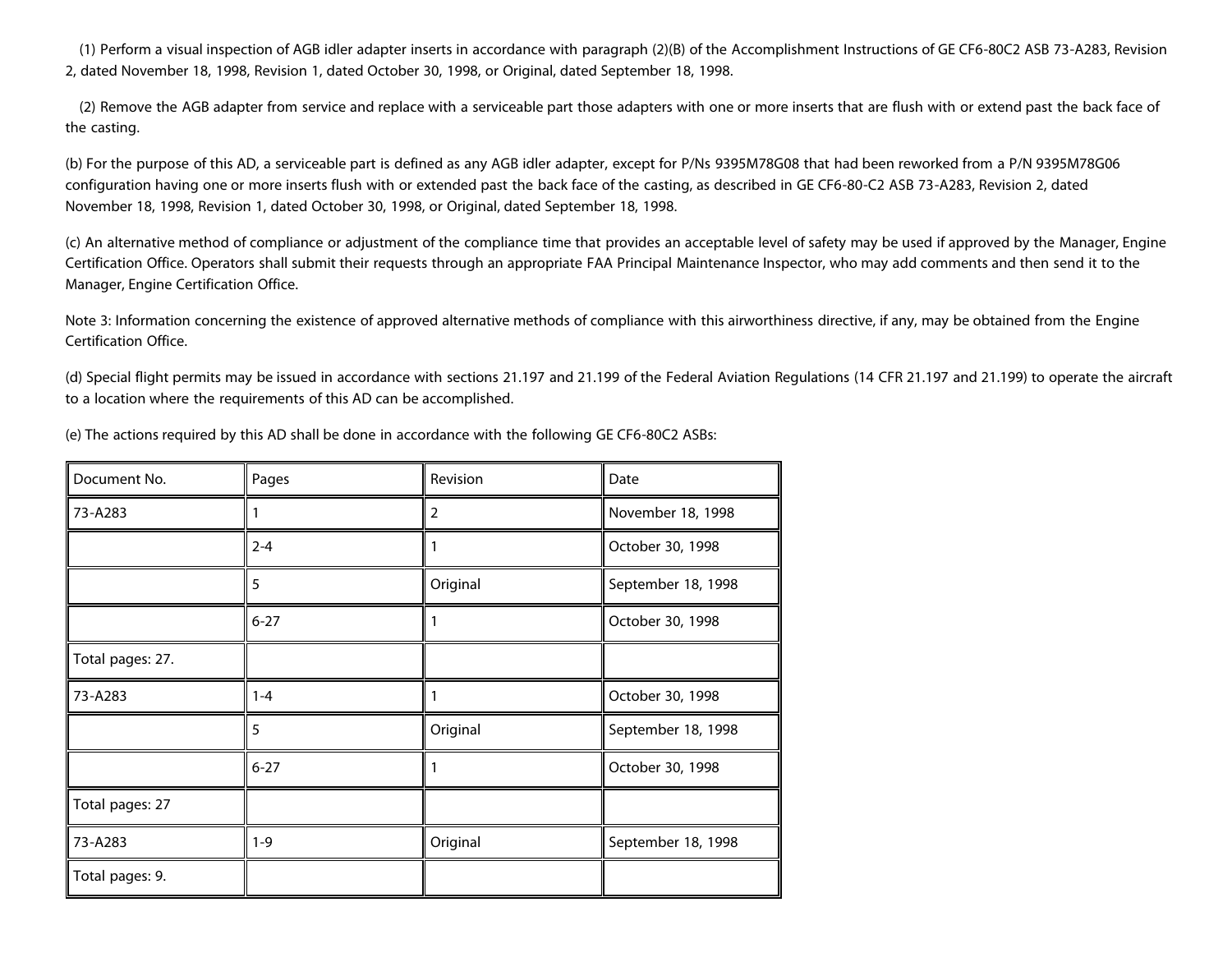(1) Perform a visual inspection of AGB idler adapter inserts in accordance with paragraph (2)(B) of the Accomplishment Instructions of GE CF6-80C2 ASB 73-A283, Revision 2, dated November 18, 1998, Revision 1, dated October 30, 1998, or Original, dated September 18, 1998.

 (2) Remove the AGB adapter from service and replace with a serviceable part those adapters with one or more inserts that are flush with or extend past the back face of the casting.

(b) For the purpose of this AD, a serviceable part is defined as any AGB idler adapter, except for P/Ns 9395M78G08 that had been reworked from a P/N 9395M78G06 configuration having one or more inserts flush with or extended past the back face of the casting, as described in GE CF6-80-C2 ASB 73-A283, Revision 2, dated November 18, 1998, Revision 1, dated October 30, 1998, or Original, dated September 18, 1998.

(c) An alternative method of compliance or adjustment of the compliance time that provides an acceptable level of safety may be used if approved by the Manager, Engine Certification Office. Operators shall submit their requests through an appropriate FAA Principal Maintenance Inspector, who may add comments and then send it to the Manager, Engine Certification Office.

Note 3: Information concerning the existence of approved alternative methods of compliance with this airworthiness directive, if any, may be obtained from the Engine Certification Office.

(d) Special flight permits may be issued in accordance with sections 21.197 and 21.199 of the Federal Aviation Regulations (14 CFR 21.197 and 21.199) to operate the aircraft to a location where the requirements of this AD can be accomplished.

| Document No.     | Pages    | Revision       | Date               |
|------------------|----------|----------------|--------------------|
| 73-A283          |          | $\overline{2}$ | November 18, 1998  |
|                  | $2 - 4$  | 1              | October 30, 1998   |
|                  | 5        | Original       | September 18, 1998 |
|                  | $6 - 27$ | 1              | October 30, 1998   |
| Total pages: 27. |          |                |                    |
| 73-A283          | $1 - 4$  | 1              | October 30, 1998   |
|                  | 5        | Original       | September 18, 1998 |
|                  | $6 - 27$ | 1              | October 30, 1998   |
| Total pages: 27  |          |                |                    |
| 73-A283          | $1 - 9$  | Original       | September 18, 1998 |
| Total pages: 9.  |          |                |                    |

(e) The actions required by this AD shall be done in accordance with the following GE CF6-80C2 ASBs: